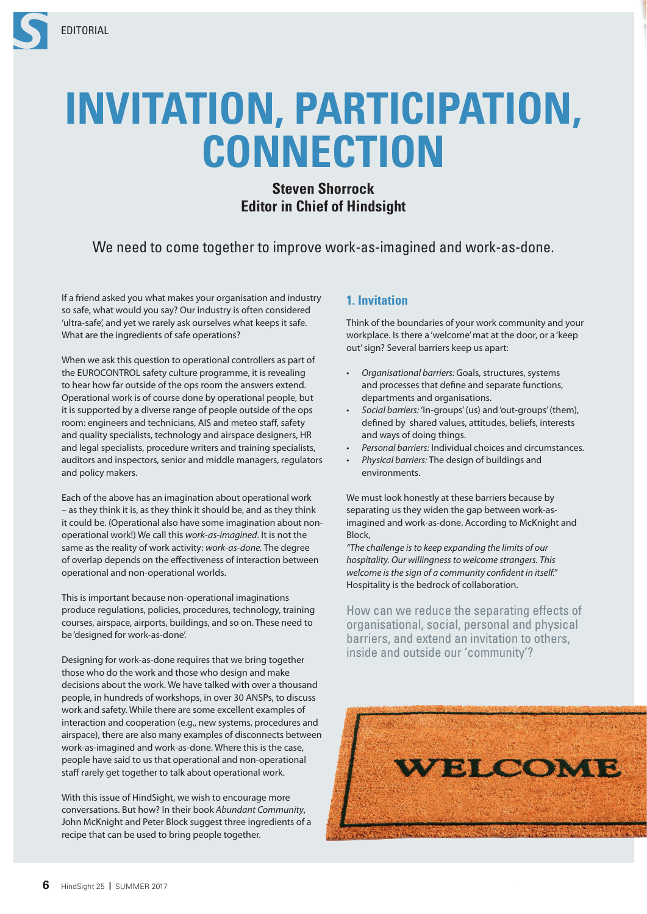

# **INVITATION, PARTICIPATION, CONNECTION**

## **Steven Shorrock Editor in Chief of Hindsight**

## We need to come together to improve work-as-imagined and work-as-done.

If a friend asked you what makes your organisation and industry so safe, what would you say? Our industry is often considered 'ultra-safe', and yet we rarely ask ourselves what keeps it safe. What are the ingredients of safe operations?

When we ask this question to operational controllers as part of the EUROCONTROL safety culture programme, it is revealing to hear how far outside of the ops room the answers extend. Operational work is of course done by operational people, but it is supported by a diverse range of people outside of the ops room: engineers and technicians, AIS and meteo staff, safety and quality specialists, technology and airspace designers, HR and legal specialists, procedure writers and training specialists, auditors and inspectors, senior and middle managers, regulators and policy makers.

Each of the above has an imagination about operational work – as they think it is, as they think it should be, and as they think it could be. (Operational also have some imagination about nonoperational work!) We call this *work-as-imagined*. It is not the same as the reality of work activity: *work-as-done.* The degree of overlap depends on the effectiveness of interaction between operational and non-operational worlds.

This is important because non-operational imaginations produce regulations, policies, procedures, technology, training courses, airspace, airports, buildings, and so on. These need to be 'designed for work-as-done'.

Designing for work-as-done requires that we bring together those who do the work and those who design and make decisions about the work. We have talked with over a thousand people, in hundreds of workshops, in over 30 ANSPs, to discuss work and safety. While there are some excellent examples of interaction and cooperation (e.g., new systems, procedures and airspace), there are also many examples of disconnects between work-as-imagined and work-as-done. Where this is the case, people have said to us that operational and non-operational staff rarely get together to talk about operational work.

With this issue of HindSight, we wish to encourage more conversations. But how? In their book *Abundant Community*, John McKnight and Peter Block suggest three ingredients of a recipe that can be used to bring people together.

### **1. Invitation**

Think of the boundaries of your work community and your workplace. Is there a 'welcome' mat at the door, or a 'keep out' sign? Several barriers keep us apart:

- *Organisational barriers:* Goals, structures, systems and processes that define and separate functions, departments and organisations.
- *Social barriers:* 'In-groups' (us) and 'out-groups' (them), defined by shared values, attitudes, beliefs, interests and ways of doing things.
- *Personal barriers:* Individual choices and circumstances.
- *Physical barriers:* The design of buildings and environments.

We must look honestly at these barriers because by separating us they widen the gap between work-asimagined and work-as-done. According to McKnight and Block,

*"The challenge is to keep expanding the limits of our hospitality. Our willingness to welcome strangers. This welcome is the sign of a community confident in itself."* Hospitality is the bedrock of collaboration.

How can we reduce the separating effects of organisational, social, personal and physical barriers, and extend an invitation to others, inside and outside our 'community'?